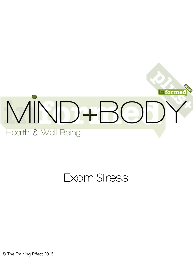

## Exam Stress

© The Training Effect 2015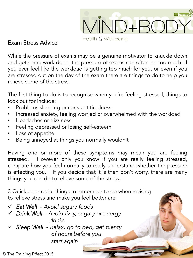

## Exam Stress Advice

While the pressure of exams may be a genuine motivator to knuckle down and get some work done, the pressure of exams can often be too much. If you ever feel like the workload is getting too much for you, or even if you are stressed out on the day of the exam there are things to do to help you relieve some of the stress.

The first thing to do is to recognise when you're feeling stressed, things to look out for include:

- Problems sleeping or constant tiredness
- Increased anxiety, feeling worried or overwhelmed with the workload
- Headaches or dizziness
- Feeling depressed or losing self-esteem
- Loss of appetite
- Being annoyed at things you normally wouldn't

Having one or more of these symptoms may mean you are feeling stressed. However only you know if you are really feeling stressed, compare how you feel normally to really understand whether the pressure is effecting you. If you decide that it is then don't worry, there are many things you can do to relieve some of the stress.

3 Quick and crucial things to remember to do when revising to relieve stress and make you feel better are:

- ü *Eat Well Avoid sugary foods*
- ü *Drink Well Avoid fizzy, sugary or energy drinks*
- ü *Sleep Well Relax, go to bed, get plenty of hours before you start again*

© The Training Effect 2015